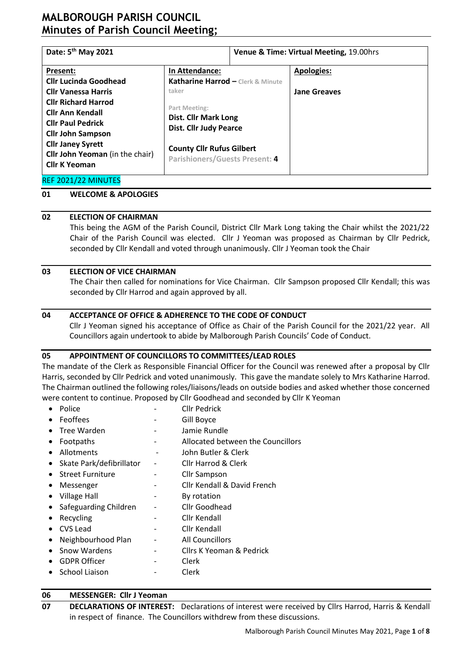| Date: 5 <sup>th</sup> May 2021    |               | Venue & Time: Virtual Meeting, 19.00hrs                                                                  |  |  |  |
|-----------------------------------|---------------|----------------------------------------------------------------------------------------------------------|--|--|--|
| In Attendance:                    |               | <b>Apologies:</b>                                                                                        |  |  |  |
| Katharine Harrod - Clerk & Minute |               |                                                                                                          |  |  |  |
| taker                             |               | <b>Jane Greaves</b>                                                                                      |  |  |  |
|                                   |               |                                                                                                          |  |  |  |
|                                   |               |                                                                                                          |  |  |  |
| <b>Dist. Cllr Judy Pearce</b>     |               |                                                                                                          |  |  |  |
|                                   |               |                                                                                                          |  |  |  |
|                                   |               |                                                                                                          |  |  |  |
|                                   |               |                                                                                                          |  |  |  |
|                                   |               |                                                                                                          |  |  |  |
|                                   | Part Meeting: | <b>Dist. Cllr Mark Long</b><br><b>County Cllr Rufus Gilbert</b><br><b>Parishioners/Guests Present: 4</b> |  |  |  |

### REF 2021/22 MINUTES

### **01 WELCOME & APOLOGIES**

## **02 ELECTION OF CHAIRMAN**

This being the AGM of the Parish Council, District Cllr Mark Long taking the Chair whilst the 2021/22 Chair of the Parish Council was elected. Cllr J Yeoman was proposed as Chairman by Cllr Pedrick, seconded by Cllr Kendall and voted through unanimously. Cllr J Yeoman took the Chair

## **03 ELECTION OF VICE CHAIRMAN**

The Chair then called for nominations for Vice Chairman. Cllr Sampson proposed Cllr Kendall; this was seconded by Cllr Harrod and again approved by all.

## **04 ACCEPTANCE OF OFFICE & ADHERENCE TO THE CODE OF CONDUCT**

Cllr J Yeoman signed his acceptance of Office as Chair of the Parish Council for the 2021/22 year. All Councillors again undertook to abide by Malborough Parish Councils' Code of Conduct.

## **05 APPOINTMENT OF COUNCILLORS TO COMMITTEES/LEAD ROLES**

The mandate of the Clerk as Responsible Financial Officer for the Council was renewed after a proposal by Cllr Harris, seconded by Cllr Pedrick and voted unanimously. This gave the mandate solely to Mrs Katharine Harrod. The Chairman outlined the following roles/liaisons/leads on outside bodies and asked whether those concerned were content to continue. Proposed by Cllr Goodhead and seconded by Cllr K Yeoman

- Police  **Cllr Pedrick**
- Feoffees The Cill Boyce
- Tree Warden Tree Warden Free Warden Free Warden Europe Europe and Tree Bundle
- Footpaths **COUNTER EXECUTE:** Allocated between the Councillors
- Allotments John Butler & Clerk
- Skate Park/defibrillator Cllr Harrod & Clerk
- Street Furniture Cllr Sampson
- Messenger Cllr Kendall & David French
- Village Hall **compared Figure 1** By rotation
- Safeguarding Children Cllr Goodhead
- Recycling The Clif Kendall
- CVS Lead Cllr Kendall
- Neighbourhood Plan All Councillors
- Snow Wardens Cllrs K Yeoman & Pedrick
- GDPR Officer Clerk
- School Liaison Clerk

# **06 MESSENGER: Cllr J Yeoman**

**07 DECLARATIONS OF INTEREST:** Declarations of interest were received by Cllrs Harrod, Harris & Kendall in respect of finance. The Councillors withdrew from these discussions.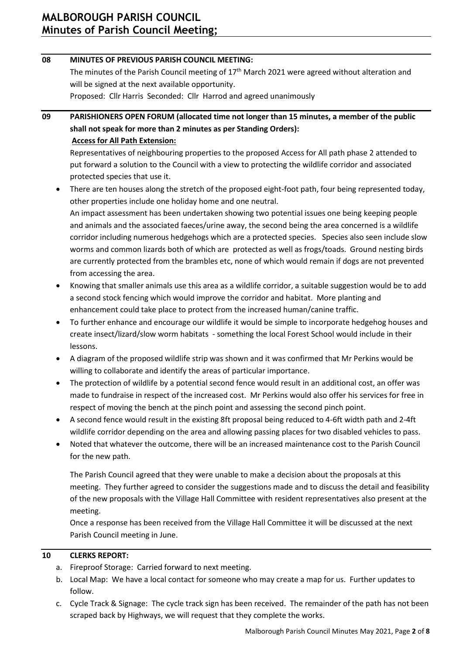# **08 MINUTES OF PREVIOUS PARISH COUNCIL MEETING:** The minutes of the Parish Council meeting of 17<sup>th</sup> March 2021 were agreed without alteration and will be signed at the next available opportunity. Proposed: Cllr Harris Seconded: Cllr Harrod and agreed unanimously **09 PARISHIONERS OPEN FORUM (allocated time not longer than 15 minutes, a member of the public shall not speak for more than 2 minutes as per Standing Orders): Access for All Path Extension:**  Representatives of neighbouring properties to the proposed Access for All path phase 2 attended to put forward a solution to the Council with a view to protecting the wildlife corridor and associated protected species that use it.

• There are ten houses along the stretch of the proposed eight-foot path, four being represented today, other properties include one holiday home and one neutral. An impact assessment has been undertaken showing two potential issues one being keeping people and animals and the associated faeces/urine away, the second being the area concerned is a wildlife corridor including numerous hedgehogs which are a protected species. Species also seen include slow worms and common lizards both of which are protected as well as frogs/toads. Ground nesting birds are currently protected from the brambles etc, none of which would remain if dogs are not prevented from accessing the area.

- Knowing that smaller animals use this area as a wildlife corridor, a suitable suggestion would be to add a second stock fencing which would improve the corridor and habitat. More planting and enhancement could take place to protect from the increased human/canine traffic.
- To further enhance and encourage our wildlife it would be simple to incorporate hedgehog houses and create insect/lizard/slow worm habitats - something the local Forest School would include in their lessons.
- A diagram of the proposed wildlife strip was shown and it was confirmed that Mr Perkins would be willing to collaborate and identify the areas of particular importance.
- The protection of wildlife by a potential second fence would result in an additional cost, an offer was made to fundraise in respect of the increased cost. Mr Perkins would also offer his services for free in respect of moving the bench at the pinch point and assessing the second pinch point.
- A second fence would result in the existing 8ft proposal being reduced to 4-6ft width path and 2-4ft wildlife corridor depending on the area and allowing passing places for two disabled vehicles to pass.
- Noted that whatever the outcome, there will be an increased maintenance cost to the Parish Council for the new path.

The Parish Council agreed that they were unable to make a decision about the proposals at this meeting. They further agreed to consider the suggestions made and to discuss the detail and feasibility of the new proposals with the Village Hall Committee with resident representatives also present at the meeting.

Once a response has been received from the Village Hall Committee it will be discussed at the next Parish Council meeting in June.

# **10 CLERKS REPORT:**

- a. Fireproof Storage: Carried forward to next meeting.
- b. Local Map: We have a local contact for someone who may create a map for us. Further updates to follow.
- c. Cycle Track & Signage: The cycle track sign has been received. The remainder of the path has not been scraped back by Highways, we will request that they complete the works.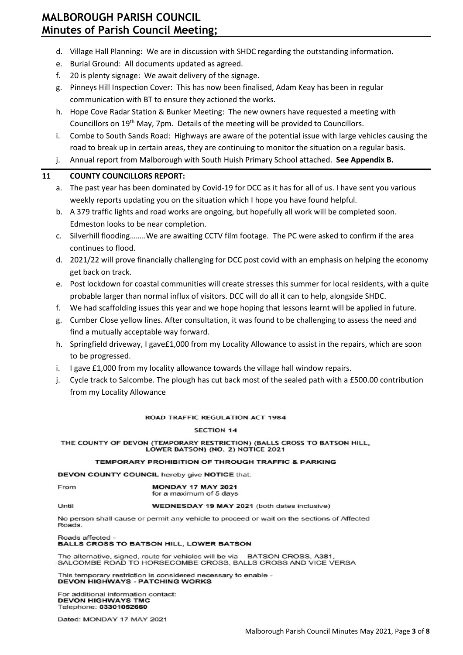- d. Village Hall Planning: We are in discussion with SHDC regarding the outstanding information.
- e. Burial Ground: All documents updated as agreed.
- f. 20 is plenty signage: We await delivery of the signage.
- g. Pinneys Hill Inspection Cover: This has now been finalised, Adam Keay has been in regular communication with BT to ensure they actioned the works.
- h. Hope Cove Radar Station & Bunker Meeting: The new owners have requested a meeting with Councillors on 19th May, 7pm. Details of the meeting will be provided to Councillors.
- i. Combe to South Sands Road: Highways are aware of the potential issue with large vehicles causing the road to break up in certain areas, they are continuing to monitor the situation on a regular basis.
- j. Annual report from Malborough with South Huish Primary School attached. **See Appendix B.**

## **11 COUNTY COUNCILLORS REPORT:**

- a. The past year has been dominated by Covid-19 for DCC as it has for all of us. I have sent you various weekly reports updating you on the situation which I hope you have found helpful.
- b. A 379 traffic lights and road works are ongoing, but hopefully all work will be completed soon. Edmeston looks to be near completion.
- c. Silverhill flooding……..We are awaiting CCTV film footage. The PC were asked to confirm if the area continues to flood.
- d. 2021/22 will prove financially challenging for DCC post covid with an emphasis on helping the economy get back on track.
- e. Post lockdown for coastal communities will create stresses this summer for local residents, with a quite probable larger than normal influx of visitors. DCC will do all it can to help, alongside SHDC.
- f. We had scaffolding issues this year and we hope hoping that lessons learnt will be applied in future.
- g. Cumber Close yellow lines. After consultation, it was found to be challenging to assess the need and find a mutually acceptable way forward.
- h. Springfield driveway, I gave£1,000 from my Locality Allowance to assist in the repairs, which are soon to be progressed.
- i. I gave £1,000 from my locality allowance towards the village hall window repairs.
- j. Cycle track to Salcombe. The plough has cut back most of the sealed path with a £500.00 contribution from my Locality Allowance

#### **ROAD TRAFFIC REGULATION ACT 1984**

#### **SECTION 14**

#### THE COUNTY OF DEVON (TEMPORARY RESTRICTION) (BALLS CROSS TO BATSON HILL, LOWER BATSON) (NO. 2) NOTICE 2021

#### TEMPORARY PROHIBITION OF THROUGH TRAFFIC & PARKING

**DEVON COUNTY COUNCIL hereby give NOTICE that:** 

| From | <b>MONDAY 17 MAY 2021</b> |
|------|---------------------------|
|      | for a maximum of 5 days   |

Until

WEDNESDAY 19 MAY 2021 (both dates inclusive)

No person shall cause or permit any vehicle to proceed or wait on the sections of Affected Roads.

Roads affected **BALLS CROSS TO BATSON HILL, LOWER BATSON** 

The alternative, signed, route for vehicles will be via - BATSON CROSS, A381 SALCOMBE ROAD TO HORSECOMBE CROSS, BALLS CROSS AND VICE VERSA

This temporary restriction is considered necessary to enable -<br>DEVON HIGHWAYS - PATCHING WORKS

For additional information contact: **DEVON HIGHWAYS TMC** Telephone: 03301052660

Dated: MONDAY 17 MAY 2021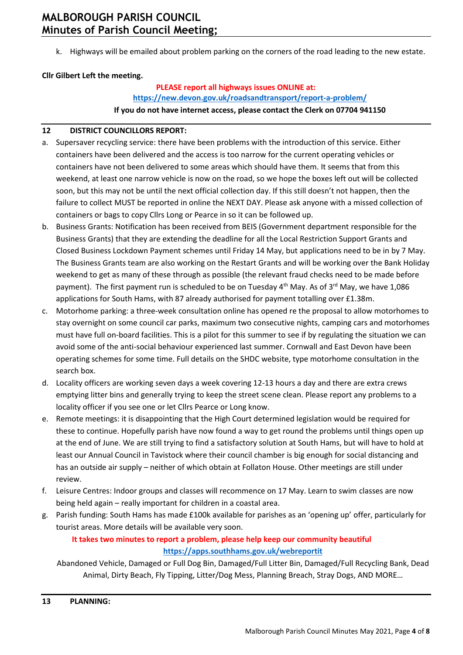k. Highways will be emailed about problem parking on the corners of the road leading to the new estate.

# **Cllr Gilbert Left the meeting.**

# **PLEASE report all highways issues ONLINE at: <https://new.devon.gov.uk/roadsandtransport/report-a-problem/> If you do not have internet access, please contact the Clerk on 07704 941150**

## **12 DISTRICT COUNCILLORS REPORT:**

- a. Supersaver recycling service: there have been problems with the introduction of this service. Either containers have been delivered and the access is too narrow for the current operating vehicles or containers have not been delivered to some areas which should have them. It seems that from this weekend, at least one narrow vehicle is now on the road, so we hope the boxes left out will be collected soon, but this may not be until the next official collection day. If this still doesn't not happen, then the failure to collect MUST be reported in online the NEXT DAY. Please ask anyone with a missed collection of containers or bags to copy Cllrs Long or Pearce in so it can be followed up.
- b. Business Grants: Notification has been received from BEIS (Government department responsible for the Business Grants) that they are extending the deadline for all the Local Restriction Support Grants and Closed Business Lockdown Payment schemes until Friday 14 May, but applications need to be in by 7 May. The Business Grants team are also working on the Restart Grants and will be working over the Bank Holiday weekend to get as many of these through as possible (the relevant fraud checks need to be made before payment). The first payment run is scheduled to be on Tuesday 4<sup>th</sup> May. As of 3<sup>rd</sup> May, we have 1,086 applications for South Hams, with 87 already authorised for payment totalling over £1.38m.
- c. Motorhome parking: a three-week consultation online has opened re the proposal to allow motorhomes to stay overnight on some council car parks, maximum two consecutive nights, camping cars and motorhomes must have full on-board facilities. This is a pilot for this summer to see if by regulating the situation we can avoid some of the anti-social behaviour experienced last summer. Cornwall and East Devon have been operating schemes for some time. Full details on the SHDC website, type motorhome consultation in the search box.
- d. Locality officers are working seven days a week covering 12-13 hours a day and there are extra crews emptying litter bins and generally trying to keep the street scene clean. Please report any problems to a locality officer if you see one or let Cllrs Pearce or Long know.
- e. Remote meetings: it is disappointing that the High Court determined legislation would be required for these to continue. Hopefully parish have now found a way to get round the problems until things open up at the end of June. We are still trying to find a satisfactory solution at South Hams, but will have to hold at least our Annual Council in Tavistock where their council chamber is big enough for social distancing and has an outside air supply – neither of which obtain at Follaton House. Other meetings are still under review.
- f. Leisure Centres: Indoor groups and classes will recommence on 17 May. Learn to swim classes are now being held again – really important for children in a coastal area.
- g. Parish funding: South Hams has made £100k available for parishes as an 'opening up' offer, particularly for tourist areas. More details will be available very soon.

# **It takes two minutes to report a problem, please help keep our community beautiful <https://apps.southhams.gov.uk/webreportit>**

Abandoned Vehicle, Damaged or Full Dog Bin, Damaged/Full Litter Bin, Damaged/Full Recycling Bank, Dead Animal, Dirty Beach, Fly Tipping, Litter/Dog Mess, Planning Breach, Stray Dogs, AND MORE…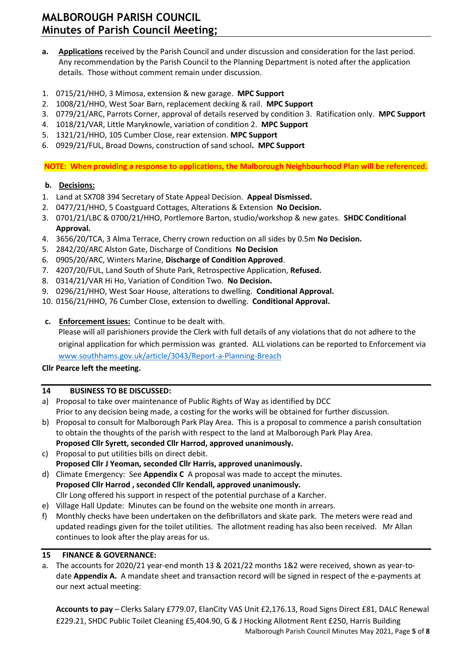- **a. Applications** received by the Parish Council and under discussion and consideration for the last period. Any recommendation by the Parish Council to the Planning Department is noted after the application details. Those without comment remain under discussion.
- 1. 0715/21/HHO, 3 Mimosa, extension & new garage. **MPC Support**
- 2. 1008/21/HHO, West Soar Barn, replacement decking & rail. **MPC Support**
- 3. 0779/21/ARC, Parrots Corner, approval of details reserved by condition 3. Ratification only. **MPC Support**
- 4. 1018/21/VAR, Little Maryknowle, variation of condition 2. **MPC Support**
- 5. 1321/21/HHO, 105 Cumber Close, rear extension. **MPC Support**
- 6. 0929/21/FUL, Broad Downs, construction of sand school**. MPC Support**

**NOTE: When providing a response to applications, the Malborough Neighbourhood Plan will be referenced.**

# **b. Decisions:**

- 1. Land at SX708 394 Secretary of State Appeal Decision. **Appeal Dismissed.**
- 2. 0477/21/HHO, 5 Coastguard Cottages, Alterations & Extension **No Decision.**
- 3. 0701/21/LBC & 0700/21/HHO, Portlemore Barton, studio/workshop & new gates. **SHDC Conditional Approval.**
- 4. 3656/20/TCA, 3 Alma Terrace, Cherry crown reduction on all sides by 0.5m **No Decision.**
- 5. 2842/20/ARC Alston Gate, Discharge of Conditions **No Decision**
- 6. 0905/20/ARC, Winters Marine, **Discharge of Condition Approved**.
- 7. 4207/20/FUL, Land South of Shute Park, Retrospective Application, **Refused.**
- 8. 0314/21/VAR Hi Ho, Variation of Condition Two. **No Decision.**
- 9. 0296/21/HHO, West Soar House, alterations to dwelling. **Conditional Approval.**
- 10. 0156/21/HHO, 76 Cumber Close, extension to dwelling. **Conditional Approval.**
- **c. Enforcement issues:** Continue to be dealt with.

Please will all parishioners provide the Clerk with full details of any violations that do not adhere to the original application for which permission was granted. ALL violations can be reported to Enforcement via [www.southhams.gov.uk/article/3043/Report-a-Planning-Breach](http://www.southhams.gov.uk/article/3043/Report-a-Planning-Breach)

# **Cllr Pearce left the meeting.**

# **14 BUSINESS TO BE DISCUSSED:**

- a) Proposal to take over maintenance of Public Rights of Way as identified by DCC Prior to any decision being made, a costing for the works will be obtained for further discussion.
- b) Proposal to consult for Malborough Park Play Area. This is a proposal to commence a parish consultation to obtain the thoughts of the parish with respect to the land at Malborough Park Play Area. **Proposed Cllr Syrett, seconded Cllr Harrod, approved unanimously.**
- c) Proposal to put utilities bills on direct debit. **Proposed Cllr J Yeoman, seconded Cllr Harris, approved unanimously.**
- d) Climate Emergency: See **Appendix C** A proposal was made to accept the minutes. **Proposed Cllr Harrod , seconded Cllr Kendall, approved unanimously.**  Cllr Long offered his support in respect of the potential purchase of a Karcher.
- e) Village Hall Update: Minutes can be found on the website one month in arrears.
- f) Monthly checks have been undertaken on the defibrillators and skate park. The meters were read and updated readings given for the toilet utilities. The allotment reading has also been received. Mr Allan continues to look after the play areas for us.

# **15 FINANCE & GOVERNANCE:**

a. The accounts for 2020/21 year-end month 13 & 2021/22 months 1&2 were received, shown as year-todate **Appendix A.** A mandate sheet and transaction record will be signed in respect of the e-payments at our next actual meeting:

Malborough Parish Council Minutes May 2021, Page **5** of **8 Accounts to pay** – Clerks Salary £779.07, ElanCity VAS Unit £2,176.13, Road Signs Direct £81, DALC Renewal £229.21, SHDC Public Toilet Cleaning £5,404.90, G & J Hocking Allotment Rent £250, Harris Building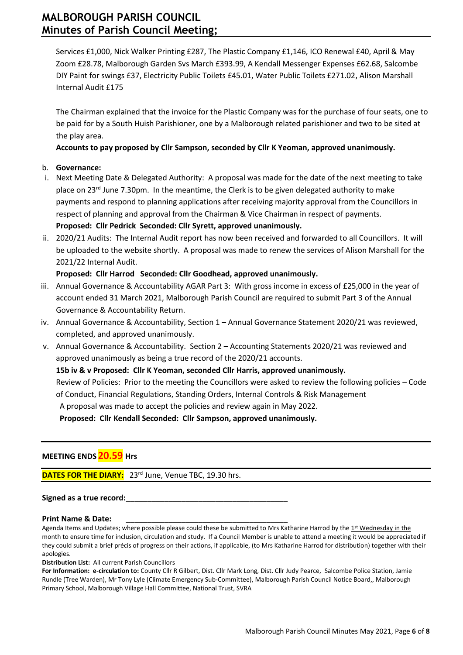Services £1,000, Nick Walker Printing £287, The Plastic Company £1,146, ICO Renewal £40, April & May Zoom £28.78, Malborough Garden Svs March £393.99, A Kendall Messenger Expenses £62.68, Salcombe DIY Paint for swings £37, Electricity Public Toilets £45.01, Water Public Toilets £271.02, Alison Marshall Internal Audit £175

The Chairman explained that the invoice for the Plastic Company was for the purchase of four seats, one to be paid for by a South Huish Parishioner, one by a Malborough related parishioner and two to be sited at the play area.

## **Accounts to pay proposed by Cllr Sampson, seconded by Cllr K Yeoman, approved unanimously.**

## b. **Governance:**

- i. Next Meeting Date & Delegated Authority: A proposal was made for the date of the next meeting to take place on 23<sup>rd</sup> June 7.30pm. In the meantime, the Clerk is to be given delegated authority to make payments and respond to planning applications after receiving majority approval from the Councillors in respect of planning and approval from the Chairman & Vice Chairman in respect of payments. **Proposed: Cllr Pedrick Seconded: Cllr Syrett, approved unanimously.**
- ii. 2020/21 Audits: The Internal Audit report has now been received and forwarded to all Councillors. It will be uploaded to the website shortly. A proposal was made to renew the services of Alison Marshall for the 2021/22 Internal Audit.

## **Proposed: Cllr Harrod Seconded: Cllr Goodhead, approved unanimously.**

- iii. Annual Governance & Accountability AGAR Part 3: With gross income in excess of £25,000 in the year of account ended 31 March 2021, Malborough Parish Council are required to submit Part 3 of the Annual Governance & Accountability Return.
- iv. Annual Governance & Accountability, Section 1 Annual Governance Statement 2020/21 was reviewed, completed, and approved unanimously.
- v. Annual Governance & Accountability. Section 2 Accounting Statements 2020/21 was reviewed and approved unanimously as being a true record of the 2020/21 accounts.

## **15b iv & v Proposed: Cllr K Yeoman, seconded Cllr Harris, approved unanimously.**

Review of Policies: Prior to the meeting the Councillors were asked to review the following policies – Code of Conduct, Financial Regulations, Standing Orders, Internal Controls & Risk Management

A proposal was made to accept the policies and review again in May 2022.

**Proposed: Cllr Kendall Seconded: Cllr Sampson, approved unanimously.** 

# **MEETING ENDS20.59 Hrs**

l

**DATES FOR THE DIARY:** 23<sup>rd</sup> June, Venue TBC, 19.30 hrs.

## Signed as a true record:

#### **Print Name & Date:**

Agenda Items and Updates; where possible please could these be submitted to Mrs Katharine Harrod by the 1st Wednesday in the month to ensure time for inclusion, circulation and study. If a Council Member is unable to attend a meeting it would be appreciated if they could submit a brief précis of progress on their actions, if applicable, (to Mrs Katharine Harrod for distribution) together with their apologies.

**Distribution List:** All current Parish Councillors

**For Information: e-circulation to:** County Cllr R Gilbert, Dist. Cllr Mark Long, Dist. Cllr Judy Pearce, Salcombe Police Station, Jamie Rundle (Tree Warden), Mr Tony Lyle (Climate Emergency Sub-Committee), Malborough Parish Council Notice Board,, Malborough Primary School, Malborough Village Hall Committee, National Trust, SVRA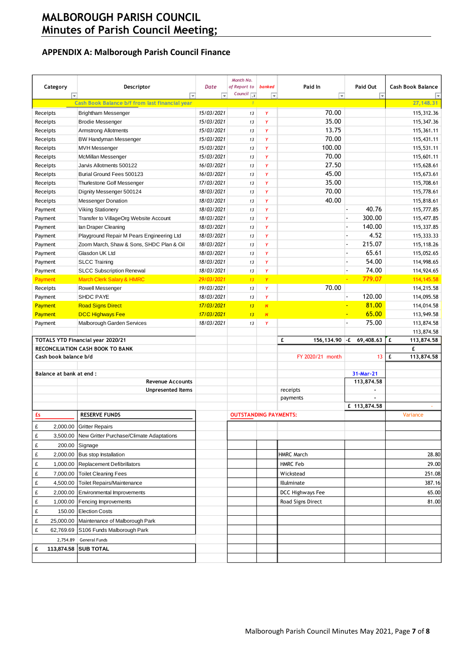# **APPENDIX A: Malborough Parish Council Finance**

| Category<br>$\bar{\rm v}$ | Descriptor<br>$\overline{\mathbf{v}}$                                 | <b>Date</b><br>$\overline{\phantom{0}}$ | Month No.<br>of Report to<br>Council $\overline{\mathcal{F}}$ | <b>banked</b><br>$\overline{\phantom{0}}$ | Paid In<br>⋤      | Paid Out<br>$\overline{\phantom{a}}$ | <b>Cash Book Balance</b> |
|---------------------------|-----------------------------------------------------------------------|-----------------------------------------|---------------------------------------------------------------|-------------------------------------------|-------------------|--------------------------------------|--------------------------|
|                           | Cash Book Balance b/f from last financial year                        |                                         | $\overline{\mathbf{1}}$                                       |                                           |                   |                                      | 27, 148, 31              |
| Receipts                  | <b>Brightham Messenger</b>                                            | 15/03/2021                              | 13                                                            | Y                                         | 70.00             |                                      | 115,312.36               |
| Receipts                  | <b>Brodie Messenger</b>                                               | 15/03/2021                              | 13                                                            | Y                                         | 35.00             |                                      | 115,347.36               |
| Receipts                  | <b>Armstrong Allotments</b>                                           | 15/03/2021                              | 13                                                            | Y                                         | 13.75             |                                      | 115,361.11               |
| Receipts                  | <b>BW Handyman Messenger</b>                                          | 15/03/2021                              | 13                                                            | Y                                         | 70.00             |                                      | 115,431.11               |
| Receipts                  | <b>MVH Messenger</b>                                                  | 15/03/2021                              | 13                                                            | Ÿ                                         | 100.00            |                                      | 115,531.11               |
| Receipts                  | McMillan Messenger                                                    | 15/03/2021                              | 13                                                            | Y                                         | 70.00             |                                      | 115,601.11               |
| Receipts                  | Jarvis Allotments 500122                                              | 16/03/2021                              | 13                                                            | Y                                         | 27.50             |                                      | 115,628.61               |
| Receipts                  | Burial Ground Fees 500123                                             | 16/03/2021                              | 13                                                            | Ÿ                                         | 45.00             |                                      | 115,673.61               |
| Receipts                  | Thurlestone Golf Messenger                                            | 17/03/2021                              | 13                                                            | Y                                         | 35.00             |                                      | 115,708.61               |
| Receipts                  | Dignity Messenger 500124                                              | 18/03/2021                              | 13                                                            | Y                                         | 70.00             |                                      | 115,778.61               |
| Receipts                  | <b>Messenger Donation</b>                                             | 18/03/2021                              | 13                                                            | Y                                         | 40.00             |                                      | 115,818.61               |
| Payment                   | <b>Viking Stationery</b>                                              | 18/03/2021                              | 13                                                            | Ÿ                                         |                   | 40.76                                | 115,777.85               |
| Payment                   | Transfer to VillageOrg Website Account                                | 18/03/2021                              | 13                                                            | Ÿ                                         |                   | 300.00                               | 115,477.85               |
| Payment                   | lan Draper Cleaning                                                   | 18/03/2021                              | 13                                                            | Y                                         |                   | 140.00                               | 115,337.85               |
| Payment                   | Playground Repair M Pears Engineering Ltd                             | 18/03/2021                              | 13                                                            | Y                                         |                   | 4.52                                 | 115,333.33               |
| Payment                   | Zoom March, Shaw & Sons, SHDC Plan & Oil                              | 18/03/2021                              | 13                                                            | Ÿ                                         |                   | 215.07                               | 115,118.26               |
| Payment                   | Glasdon UK Ltd                                                        | 18/03/2021                              | 13                                                            | Y                                         |                   | 65.61                                | 115,052.65               |
| Payment                   | <b>SLCC Training</b>                                                  | 18/03/2021                              | 13                                                            | Y                                         |                   | 54.00                                | 114,998.65               |
| Payment                   | <b>SLCC Subscription Renewal</b>                                      | 18/03/2021                              | 13                                                            | Y                                         |                   | 74.00                                | 114,924.65               |
| Payment                   | <b>March Clerk Salary &amp; HMRC</b>                                  | 29/03/2021                              | 13                                                            | Y                                         |                   | 779.07                               | 114, 145.58              |
| Receipts                  | Rowell Messenger                                                      | 19/03/2021                              | 13                                                            | Y                                         | 70.00             |                                      | 114,215.58               |
| Payment                   | <b>SHDC PAYE</b>                                                      | 18/03/2021                              | 13                                                            | Y                                         |                   | 120.00                               | 114,095.58               |
| <b>Payment</b>            | <b>Road Signs Direct</b>                                              | 17/03/2021                              | 13                                                            | $\overline{N}$                            |                   | 81.00                                | 114,014.58               |
| <b>Payment</b>            | <b>DCC Highways Fee</b>                                               | 17/03/2021                              | 13                                                            | $\overline{N}$                            |                   | 65.00                                | 113,949.58               |
| Payment                   | Malborough Garden Services                                            | 18/03/2021                              | 13                                                            | Y                                         |                   | 75.00                                | 113,874.58               |
|                           |                                                                       |                                         |                                                               |                                           | £                 | 69,408.63                            | 113,874.58<br>£          |
|                           | TOTALS YTD Financial year 2020/21<br>RECONCILIATION CASH BOOK TO BANK |                                         |                                                               |                                           | 156,134.90 - £    |                                      | 113,874.58<br>£          |
| Cash book balance b/d     |                                                                       |                                         |                                                               |                                           | FY 2020/21 month  | 13                                   | £<br>113,874.58          |
|                           |                                                                       |                                         |                                                               |                                           |                   |                                      |                          |
| Balance at bank at end :  |                                                                       |                                         |                                                               |                                           |                   | 31-Mar-21                            |                          |
|                           | <b>Revenue Accounts</b>                                               |                                         |                                                               |                                           |                   | 113,874.58                           |                          |
|                           | <b>Unpresented Items</b>                                              |                                         |                                                               |                                           | receipts          |                                      |                          |
|                           |                                                                       |                                         |                                                               |                                           | payments          |                                      |                          |
|                           |                                                                       |                                         |                                                               |                                           |                   | £ 113,874.58                         |                          |
| £s                        | <b>RESERVE FUNDS</b>                                                  |                                         | <b>OUTSTANDING PAYMENTS:</b>                                  |                                           |                   |                                      | Variance                 |
| £                         | 2,000.00 Gritter Repairs                                              |                                         |                                                               |                                           |                   |                                      |                          |
| £                         | 3,500.00 New Gritter Purchase/Climate Adaptations                     |                                         |                                                               |                                           |                   |                                      |                          |
| £                         | 200.00 Signage                                                        |                                         |                                                               |                                           |                   |                                      |                          |
| £                         | 2,000.00 Bus stop Installation                                        |                                         |                                                               |                                           | HMRC March        |                                      | 28.80                    |
| £                         | 1,000.00 Replacement Defibrillators                                   |                                         |                                                               |                                           | <b>HMRC Feb</b>   |                                      | 29.00                    |
| £                         | 7,000.00 Toilet Cleaning Fees                                         |                                         |                                                               |                                           | Wickstead         |                                      | 251.08                   |
| £<br>4,500.00             | Toilet Repairs/Maintenance                                            |                                         |                                                               |                                           | Illulminate       |                                      | 387.16                   |
| £<br>2,000.00             | <b>Environmental Improvements</b>                                     |                                         |                                                               |                                           | DCC Highways Fee  |                                      | 65.00                    |
| £<br>1,000.00             | Fencing Improvements                                                  |                                         |                                                               |                                           | Road Signs Direct |                                      | 81.00                    |
|                           |                                                                       |                                         |                                                               |                                           |                   |                                      |                          |
| £<br>150.00               | <b>Election Costs</b>                                                 |                                         |                                                               |                                           |                   |                                      |                          |
| £<br>25,000.00            | Maintenance of Malborough Park                                        |                                         |                                                               |                                           |                   |                                      |                          |
| £                         | 62,769.69 S106 Funds Malborough Park                                  |                                         |                                                               |                                           |                   |                                      |                          |
| 2,754.89                  | <b>General Funds</b>                                                  |                                         |                                                               |                                           |                   |                                      |                          |
| 113,874.58<br>£           | <b>SUB TOTAL</b>                                                      |                                         |                                                               |                                           |                   |                                      |                          |
|                           |                                                                       |                                         |                                                               |                                           |                   |                                      |                          |